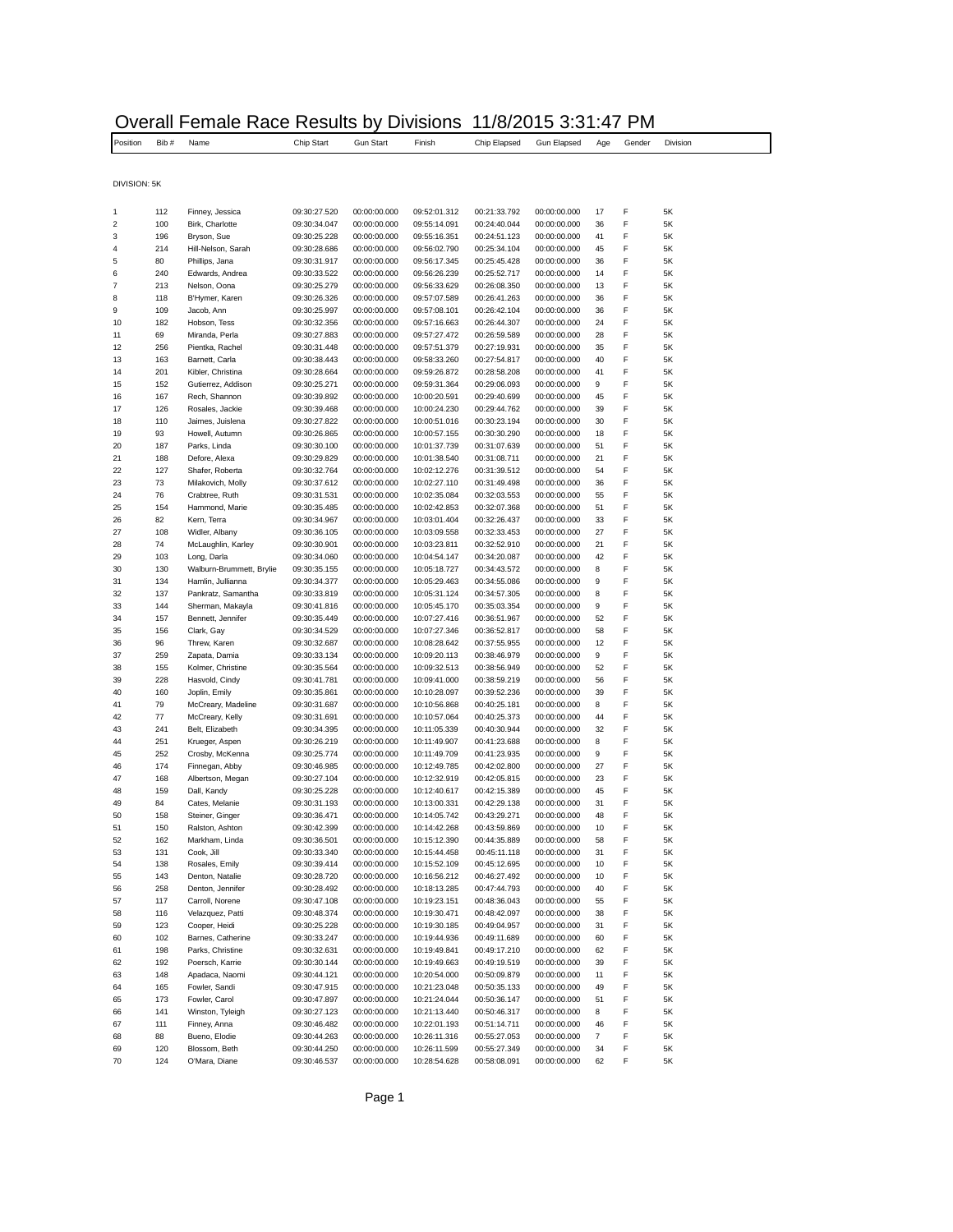|              |      | Overall i emale i vace i vesults Dy |              |                  | <b>PIVISIUI</b> IS |              |              |     |        |          |  |
|--------------|------|-------------------------------------|--------------|------------------|--------------------|--------------|--------------|-----|--------|----------|--|
| Position     | Bib# | Name                                | Chip Start   | <b>Gun Start</b> | Finish             | Chip Elapsed | Gun Elapsed  | Age | Gender | Division |  |
|              |      |                                     |              |                  |                    |              |              |     |        |          |  |
| DIVISION: 5K |      |                                     |              |                  |                    |              |              |     |        |          |  |
|              | 112  | Finney, Jessica                     | 09:30:27.520 | 00:00:00.000     | 09:52:01.312       | 00:21:33.792 | 00:00:00.000 | 17  | F      | 5K       |  |
| 2            | 100  | Birk. Charlotte                     | 09:30:34.047 | 00:00:00.000     | 09:55:14.091       | 00:24:40.044 | 00:00:00.000 | 36  | F      | 5K       |  |
| 3            | 196  | Bryson, Sue                         | 09:30:25.228 | 00:00:00.000     | 09:55:16.351       | 00:24:51.123 | 00:00:00.000 | 41  | F      | 5K       |  |
| 4            | 214  | Hill-Nelson, Sarah                  | 09:30:28.686 | 00:00:00.000     | 09:56:02.790       | 00:25:34.104 | 00:00:00.000 | 45  | F      | 5K       |  |
| 5            | 80   | Phillips, Jana                      | 09:30:31.917 | 00:00:00.000     | 09:56:17.345       | 00:25:45.428 | 00:00:00.000 | 36  | F      | 5K       |  |
| 6            | 240  | Edwards, Andrea                     | 09:30:33.522 | 00:00:00.000     | 09:56:26.239       | 00:25:52.717 | 00:00:00.000 | 14  | F      | 5K       |  |
|              | 213  | Nelson, Oona                        | 09:30:25.279 | 00:00:00.000     | 09:56:33.629       | 00:26:08.350 | 00:00:00.000 | 13  | F      | 5K       |  |
| 8            | 118  | B'Hymer, Karen                      | 09:30:26.326 | 00:00:00.000     | 09:57:07.589       | 00:26:41.263 | 00:00:00.000 | 36  | F      | 5K       |  |
| 9            | 109  | Jacob, Ann                          | 09:30:25.997 | 00:00:00.000     | 09:57:08.101       | 00:26:42.104 | 00:00:00.000 | 36  | F      | 5K       |  |
| 10           | 182  | Hobson Tess                         | 09:30:32.356 | $00.00.00$ 000   | 09:57:16.663       | 00.26.44.307 | 00:00:00 000 | 24  |        | 5K       |  |

| 6  | 240 | Edwards, Andrea          | 09:30:33.522 | 00:00:00.000 | 09:56:26.239 | 00:25:52.717 | 00:00:00.000 | 14             | F | 5K |
|----|-----|--------------------------|--------------|--------------|--------------|--------------|--------------|----------------|---|----|
| 7  | 213 | Nelson, Oona             | 09:30:25.279 | 00:00:00.000 | 09:56:33.629 | 00:26:08.350 | 00:00:00.000 | 13             | F | 5K |
| 8  | 118 | B'Hymer, Karen           | 09:30:26.326 | 00:00:00.000 | 09:57:07.589 | 00:26:41.263 | 00:00:00.000 | 36             | F | 5K |
| 9  | 109 | Jacob, Ann               | 09:30:25.997 | 00:00:00.000 | 09:57:08.101 | 00:26:42.104 | 00:00:00.000 | 36             | F | 5K |
| 10 | 182 | Hobson, Tess             | 09:30:32.356 | 00:00:00.000 | 09:57:16.663 | 00:26:44.307 | 00:00:00.000 | 24             | F | 5K |
| 11 | 69  | Miranda, Perla           | 09:30:27.883 | 00:00:00.000 | 09:57:27.472 | 00:26:59.589 | 00:00:00.000 | 28             | F | 5K |
| 12 | 256 | Pientka, Rachel          | 09:30:31.448 | 00:00:00.000 | 09:57:51.379 | 00:27:19.931 | 00:00:00.000 | 35             | F | 5K |
| 13 | 163 | Barnett, Carla           | 09:30:38.443 | 00:00:00.000 | 09:58:33.260 | 00:27:54.817 | 00:00:00.000 | 40             | F | 5K |
| 14 | 201 | Kibler, Christina        | 09:30:28.664 | 00:00:00.000 | 09:59:26.872 | 00:28:58.208 | 00:00:00.000 | 41             | F | 5K |
| 15 | 152 | Gutierrez, Addison       | 09:30:25.271 | 00:00:00.000 | 09:59:31.364 | 00:29:06.093 | 00:00:00.000 | 9              | F | 5K |
| 16 | 167 | Rech, Shannon            | 09:30:39.892 | 00:00:00.000 | 10:00:20.591 | 00:29:40.699 | 00:00:00.000 | 45             | F | 5K |
| 17 | 126 | Rosales, Jackie          | 09:30:39.468 | 00:00:00.000 | 10:00:24.230 | 00:29:44.762 | 00:00:00.000 | 39             | F | 5K |
| 18 | 110 | Jaimes, Juislena         | 09:30:27.822 | 00:00:00.000 | 10:00:51.016 | 00:30:23.194 | 00:00:00.000 | 30             | F | 5K |
| 19 | 93  | Howell, Autumn           | 09:30:26.865 | 00:00:00.000 | 10:00:57.155 | 00:30:30.290 | 00:00:00.000 | 18             | F | 5K |
| 20 | 187 | Parks, Linda             | 09:30:30.100 | 00:00:00.000 | 10:01:37.739 | 00:31:07.639 | 00:00:00.000 | 51             | F | 5K |
| 21 | 188 | Defore, Alexa            | 09:30:29.829 | 00:00:00.000 | 10:01:38.540 | 00:31:08.711 | 00:00:00.000 | 21             | F | 5K |
| 22 | 127 | Shafer, Roberta          | 09:30:32.764 | 00:00:00.000 | 10:02:12.276 | 00:31:39.512 | 00:00:00.000 | 54             | F | 5K |
| 23 | 73  | Milakovich, Molly        | 09:30:37.612 | 00:00:00.000 | 10:02:27.110 | 00:31:49.498 | 00:00:00.000 | 36             | F | 5K |
| 24 | 76  | Crabtree, Ruth           | 09:30:31.531 | 00:00:00.000 | 10:02:35.084 | 00:32:03.553 | 00:00:00.000 | 55             | F | 5K |
| 25 | 154 | Hammond, Marie           | 09:30:35.485 | 00:00:00.000 | 10:02:42.853 | 00:32:07.368 | 00:00:00.000 | 51             | F | 5K |
| 26 | 82  | Kern, Terra              | 09:30:34.967 | 00:00:00.000 | 10:03:01.404 | 00:32:26.437 | 00:00:00.000 | 33             | F | 5Κ |
| 27 | 108 | Widler, Albany           | 09:30:36.105 | 00:00:00.000 | 10:03:09.558 | 00:32:33.453 | 00:00:00.000 | 27             | F | 5K |
| 28 | 74  | McLaughlin, Karley       | 09:30:30.901 | 00:00:00.000 | 10:03:23.811 | 00:32:52.910 | 00:00:00.000 | 21             | F | 5K |
| 29 | 103 | Long, Darla              | 09:30:34.060 | 00:00:00.000 | 10:04:54.147 | 00:34:20.087 | 00:00:00.000 | 42             | F | 5K |
| 30 | 130 | Walburn-Brummett, Brylie | 09:30:35.155 | 00:00:00.000 | 10:05:18.727 | 00:34:43.572 | 00:00:00.000 | 8              | F | 5K |
| 31 | 134 | Hamlin, Jullianna        | 09:30:34.377 | 00:00:00.000 | 10:05:29.463 | 00:34:55.086 | 00:00:00.000 | 9              | F | 5K |
| 32 | 137 | Pankratz, Samantha       | 09:30:33.819 | 00:00:00.000 | 10:05:31.124 | 00:34:57.305 | 00:00:00.000 | 8              | F | 5K |
| 33 | 144 | Sherman, Makayla         | 09:30:41.816 | 00:00:00.000 | 10:05:45.170 | 00:35:03.354 | 00:00:00.000 | 9              | F | 5K |
| 34 | 157 | Bennett, Jennifer        | 09:30:35.449 | 00:00:00.000 | 10:07:27.416 | 00:36:51.967 | 00:00:00.000 | 52             | F | 5K |
| 35 | 156 | Clark, Gay               | 09:30:34.529 | 00:00:00.000 | 10:07:27.346 | 00:36:52.817 | 00:00:00.000 | 58             | F | 5K |
| 36 | 96  | Threw, Karen             | 09:30:32.687 | 00:00:00.000 | 10:08:28.642 | 00:37:55.955 | 00:00:00.000 | 12             | F | 5K |
| 37 | 259 | Zapata, Damia            | 09:30:33.134 | 00:00:00.000 | 10:09:20.113 | 00:38:46.979 | 00:00:00.000 | 9              | F | 5K |
| 38 | 155 | Kolmer, Christine        | 09:30:35.564 | 00:00:00.000 | 10:09:32.513 | 00:38:56.949 | 00:00:00.000 | 52             | F | 5K |
| 39 | 228 | Hasvold, Cindy           | 09:30:41.781 | 00:00:00.000 | 10:09:41.000 | 00:38:59.219 | 00:00:00.000 | 56             | F | 5K |
| 40 | 160 | Joplin, Emily            | 09:30:35.861 | 00:00:00.000 | 10:10:28.097 | 00:39:52.236 | 00:00:00.000 | 39             | F | 5K |
| 41 | 79  | McCreary, Madeline       | 09:30:31.687 | 00:00:00.000 | 10:10:56.868 | 00:40:25.181 | 00:00:00.000 | 8              | F | 5K |
| 42 | 77  | McCreary, Kelly          | 09:30:31.691 | 00:00:00.000 | 10:10:57.064 | 00:40:25.373 | 00:00:00.000 | 44             | F | 5K |
| 43 | 241 | Belt, Elizabeth          | 09:30:34.395 | 00:00:00.000 | 10:11:05.339 | 00:40:30.944 | 00:00:00.000 | 32             | F | 5K |
| 44 | 251 | Krueger, Aspen           | 09:30:26.219 | 00:00:00.000 | 10:11:49.907 | 00:41:23.688 | 00:00:00.000 | 8              | F | 5K |
| 45 | 252 | Crosby, McKenna          | 09:30:25.774 | 00:00:00.000 | 10:11:49.709 | 00:41:23.935 | 00:00:00.000 | 9              | F | 5Κ |
| 46 | 174 | Finnegan, Abby           | 09:30:46.985 | 00:00:00.000 | 10:12:49.785 | 00:42:02.800 | 00:00:00.000 | 27             | F | 5K |
| 47 | 168 | Albertson, Megan         | 09:30:27.104 | 00:00:00.000 | 10:12:32.919 | 00:42:05.815 | 00:00:00.000 | 23             | F | 5K |
| 48 | 159 | Dall, Kandy              | 09:30:25.228 | 00:00:00.000 | 10:12:40.617 | 00:42:15.389 | 00:00:00.000 | 45             | F | 5K |
| 49 | 84  | Cates, Melanie           | 09:30:31.193 | 00:00:00.000 | 10:13:00.331 | 00:42:29.138 | 00:00:00.000 | 31             | F | 5K |
| 50 | 158 | Steiner, Ginger          | 09:30:36.471 | 00:00:00.000 | 10:14:05.742 | 00:43:29.271 | 00:00:00.000 | 48             | F | 5K |
| 51 | 150 | Ralston, Ashton          | 09:30:42.399 | 00:00:00.000 | 10:14:42.268 | 00:43:59.869 | 00:00:00.000 | 10             | F | 5K |
| 52 | 162 | Markham, Linda           | 09:30:36.501 | 00:00:00.000 | 10:15:12.390 | 00:44:35.889 | 00:00:00.000 | 58             | F | 5K |
| 53 | 131 | Cook, Jill               | 09:30:33.340 | 00:00:00.000 | 10:15:44.458 | 00:45:11.118 | 00:00:00.000 | 31             | F | 5K |
| 54 | 138 | Rosales, Emily           | 09:30:39.414 | 00:00:00.000 | 10:15:52.109 | 00:45:12.695 | 00:00:00.000 | 10             | F | 5K |
| 55 | 143 | Denton, Natalie          | 09:30:28.720 | 00:00:00.000 | 10:16:56.212 | 00:46:27.492 | 00:00:00.000 | 10             | F | 5K |
| 56 | 258 | Denton, Jennifer         | 09:30:28.492 | 00:00:00.000 | 10:18:13.285 | 00:47:44.793 | 00:00:00.000 | 40             | F | 5K |
| 57 | 117 | Carroll, Norene          | 09:30:47.108 | 00:00:00.000 | 10:19:23.151 | 00:48:36.043 | 00:00:00.000 | 55             | F | 5K |
| 58 | 116 | Velazquez, Patti         | 09:30:48.374 | 00:00:00.000 | 10:19:30.471 | 00:48:42.097 | 00:00:00.000 | 38             | F | 5K |
| 59 | 123 | Cooper, Heidi            | 09:30:25.228 | 00:00:00.000 | 10:19:30.185 | 00:49:04.957 | 00:00:00.000 | 31             | F | 5K |
| 60 | 102 | Barnes, Catherine        | 09:30:33.247 | 00:00:00.000 | 10:19:44.936 | 00:49:11.689 | 00:00:00.000 | 60             | F | 5K |
| 61 | 198 | Parks, Christine         | 09:30:32.631 | 00:00:00.000 | 10:19:49.841 | 00:49:17.210 | 00:00:00.000 | 62             | F | 5K |
| 62 | 192 | Poersch, Karrie          | 09:30:30.144 | 00:00:00.000 | 10:19:49.663 | 00:49:19.519 | 00:00:00.000 | 39             | F | 5K |
| 63 | 148 | Apadaca, Naomi           | 09:30:44.121 | 00:00:00.000 | 10:20:54.000 | 00:50:09.879 | 00:00:00.000 | 11             | F | 5K |
| 64 | 165 | Fowler, Sandi            | 09:30:47.915 | 00:00:00.000 | 10:21:23.048 | 00:50:35.133 | 00:00:00.000 | 49             | F | 5K |
| 65 | 173 | Fowler, Carol            | 09:30:47.897 | 00:00:00.000 | 10:21:24.044 | 00:50:36.147 | 00:00:00.000 | 51             | F | 5K |
| 66 | 141 | Winston, Tyleigh         | 09:30:27.123 | 00:00:00.000 | 10:21:13.440 | 00:50:46.317 | 00:00:00.000 | 8              | F | 5K |
| 67 | 111 | Finney, Anna             | 09:30:46.482 | 00:00:00.000 | 10:22:01.193 | 00:51:14.711 | 00:00:00.000 | 46             | F | 5K |
| 68 | 88  | Bueno, Elodie            | 09:30:44.263 | 00:00:00.000 | 10:26:11.316 | 00:55:27.053 | 00:00:00.000 | $\overline{7}$ | F | 5K |
| 69 | 120 | Blossom, Beth            | 09:30:44.250 | 00:00:00.000 | 10:26:11.599 | 00:55:27.349 | 00:00:00.000 | 34             | F | 5K |
| 70 | 124 | O'Mara, Diane            | 09:30:46.537 | 00:00:00.000 | 10:28:54.628 | 00:58:08.091 | 00:00:00.000 | 62             | F | 5K |
|    |     |                          |              |              |              |              |              |                |   |    |

## Overall Female Race Results by Divisions 11/8/2015 3:31:47 PM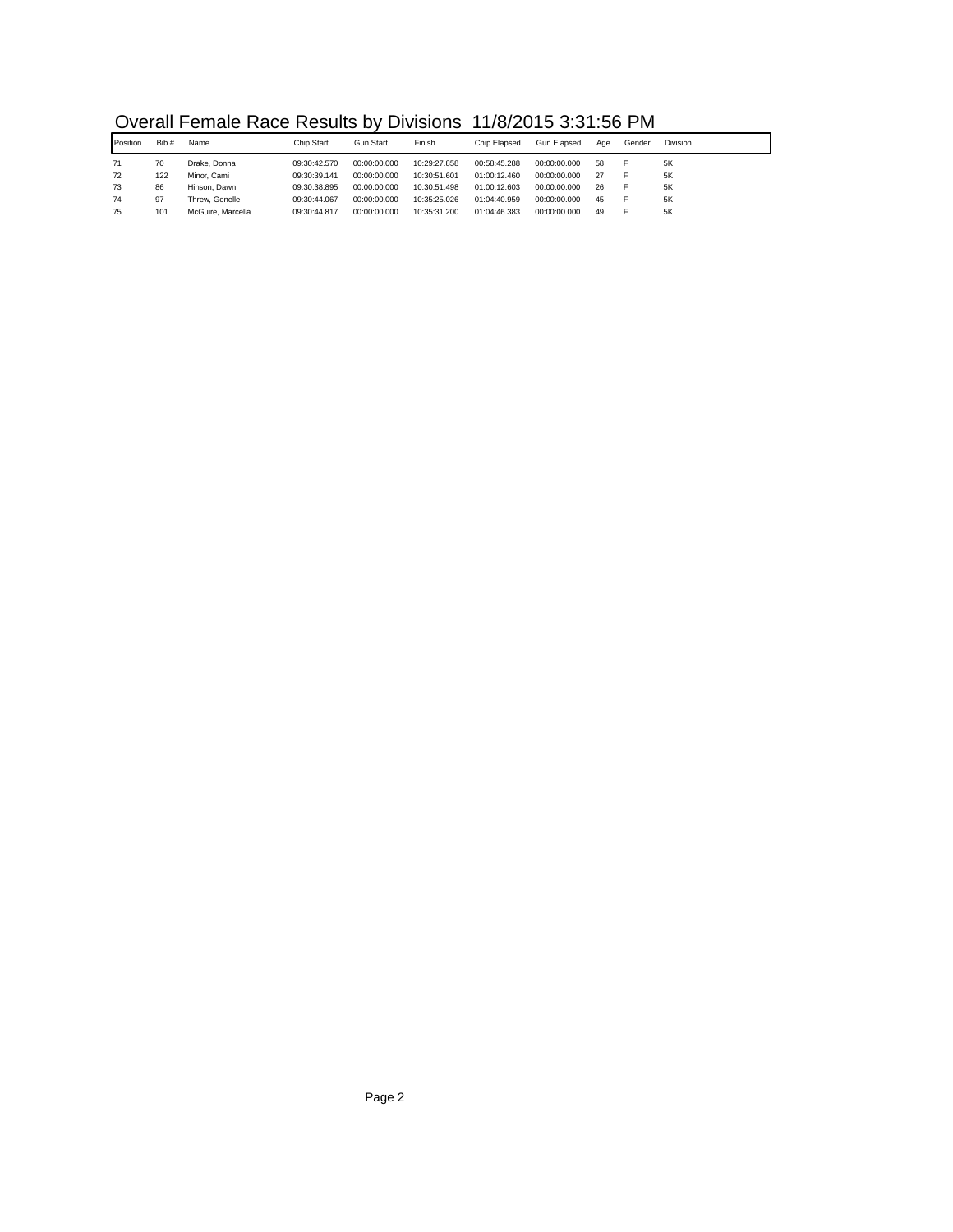| Overall Female Race Results by Divisions 11/8/2015 3:31:56 PM |  |  |  |
|---------------------------------------------------------------|--|--|--|
|---------------------------------------------------------------|--|--|--|

|          |      | <u>U POI UN LOU INDUCTION DI PRONO LIGICO I UN COLORIZIONE I IN</u> |              |              |              |              |              |     |        |                 |
|----------|------|---------------------------------------------------------------------|--------------|--------------|--------------|--------------|--------------|-----|--------|-----------------|
| Position | Bib# | Name                                                                | Chip Start   | Gun Start    | Finish       | Chip Elapsed | Gun Elapsed  | Aae | Gender | <b>Division</b> |
| 71       | 70   | Drake, Donna                                                        | 09:30:42.570 | 00:00:00.000 | 10:29:27.858 | 00:58:45.288 | 00:00:00.000 | 58  |        | .5K             |
| 72       | 122  | Minor, Cami                                                         | 09:30:39.141 | 00:00:00.000 | 10:30:51.601 | 01:00:12.460 | 00:00:00.000 | 27  |        | 5K              |
| 73       | 86   | Hinson, Dawn                                                        | 09:30:38.895 | 00:00:00.000 | 10:30:51.498 | 01:00:12.603 | 00:00:00.000 | 26  |        | 5K              |
| 74       | 97   | Threw. Genelle                                                      | 09:30:44.067 | 00:00:00.000 | 10:35:25.026 | 01:04:40.959 | 00:00:00.000 | 45  |        | 5K              |
| 75       | 101  | McGuire, Marcella                                                   | 09:30:44.817 | 00:00:00.000 | 10:35:31.200 | 01:04:46.383 | 00:00:00.000 | 49  |        | 5K              |